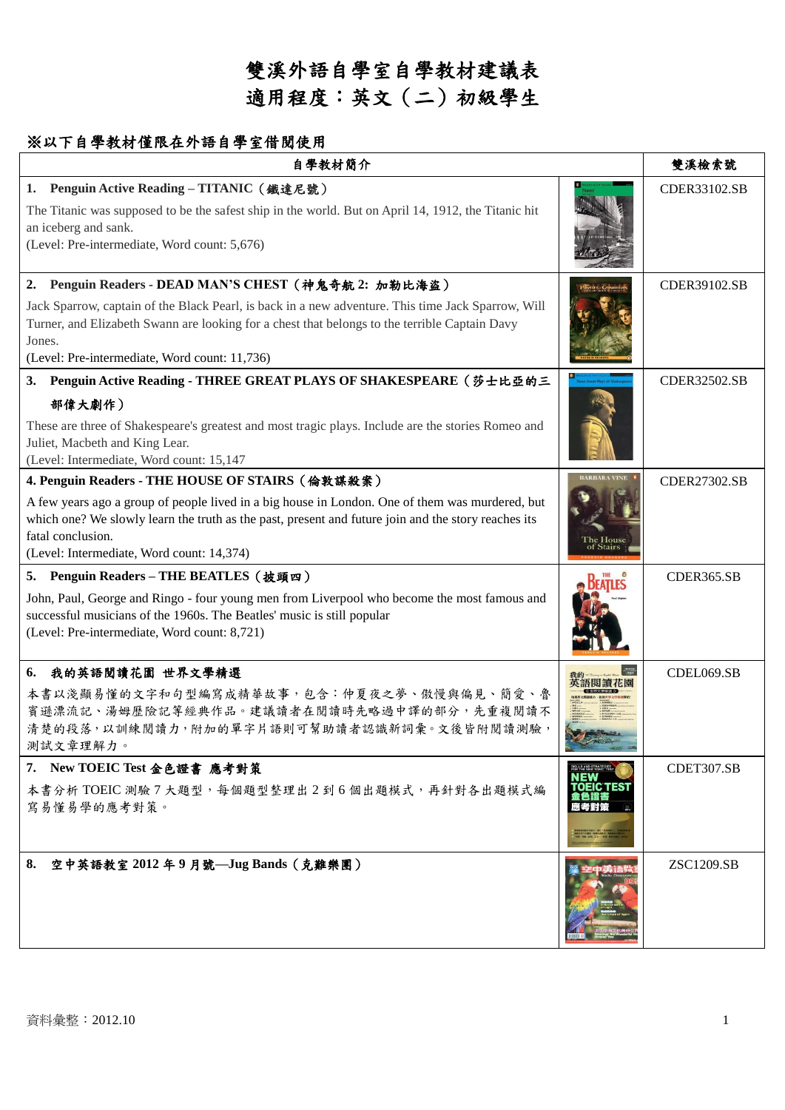# 雙溪外語自學室自學教材建議表 適用程度:英文(二)初級學生

### ※以下自學教材僅限在外語自學室借閱使用

| 自學教材簡介                                                                                                                                                                                                                                                                                                                       |                                           | 雙溪檢索號               |
|------------------------------------------------------------------------------------------------------------------------------------------------------------------------------------------------------------------------------------------------------------------------------------------------------------------------------|-------------------------------------------|---------------------|
| Penguin Active Reading - TITANIC (鐵達尼號)<br>1.<br>The Titanic was supposed to be the safest ship in the world. But on April 14, 1912, the Titanic hit<br>an iceberg and sank.<br>(Level: Pre-intermediate, Word count: 5,676)                                                                                                 |                                           | CDER33102.SB        |
| 2. Penguin Readers - DEAD MAN'S CHEST (神鬼奇航 2: 加勒比海盜)<br>Jack Sparrow, captain of the Black Pearl, is back in a new adventure. This time Jack Sparrow, Will<br>Turner, and Elizabeth Swann are looking for a chest that belongs to the terrible Captain Davy<br>Jones.<br>(Level: Pre-intermediate, Word count: 11,736)      |                                           | CDER39102.SB        |
| Penguin Active Reading - THREE GREAT PLAYS OF SHAKESPEARE (莎士比亞的三<br>3.<br>部偉大劇作)<br>These are three of Shakespeare's greatest and most tragic plays. Include are the stories Romeo and<br>Juliet, Macbeth and King Lear.<br>(Level: Intermediate, Word count: 15,147                                                        |                                           | CDER32502.SB        |
| 4. Penguin Readers - THE HOUSE OF STAIRS (倫敦謀殺案)<br>A few years ago a group of people lived in a big house in London. One of them was murdered, but<br>which one? We slowly learn the truth as the past, present and future join and the story reaches its<br>fatal conclusion.<br>(Level: Intermediate, Word count: 14,374) | he House                                  | <b>CDER27302.SB</b> |
| 5. Penguin Readers - THE BEATLES (披頭四)<br>John, Paul, George and Ringo - four young men from Liverpool who become the most famous and<br>successful musicians of the 1960s. The Beatles' music is still popular<br>(Level: Pre-intermediate, Word count: 8,721)                                                              |                                           | CDER365.SB          |
| 我的英語閱讀花園 世界文學精選<br>6.<br>本書以淺顯易懂的文字和句型編寫成精華故事,包含:仲夏夜之夢、傲慢與偏見、簡愛、魯<br>賓遜漂流記、湯姆歷險記等經典作品。建議讀者在閱讀時先略過中譯的部分,先重複閱讀不<br>清楚的段落,以訓練閱讀力,附加的單字片語則可幫助讀者認識新詞彙。文後皆附閱讀測驗:<br>測試文章理解力。                                                                                                                                                       |                                           | CDEL069.SB          |
| 7. New TOEIC Test 金色證書 應考對策<br>本書分析 TOEIC 測驗 7 大題型,每個題型整理出 2 到 6 個出題模式,再針對各出題模式編<br>寫易懂易學的應考對策。                                                                                                                                                                                                                              | (ILLS AND STRATEGI<br>)R THE NEW TOEIC' 1 | CDET307.SB          |
| 8. 空中英語教室 2012年9月號—Jug Bands (克難樂團)                                                                                                                                                                                                                                                                                          |                                           | <b>ZSC1209.SB</b>   |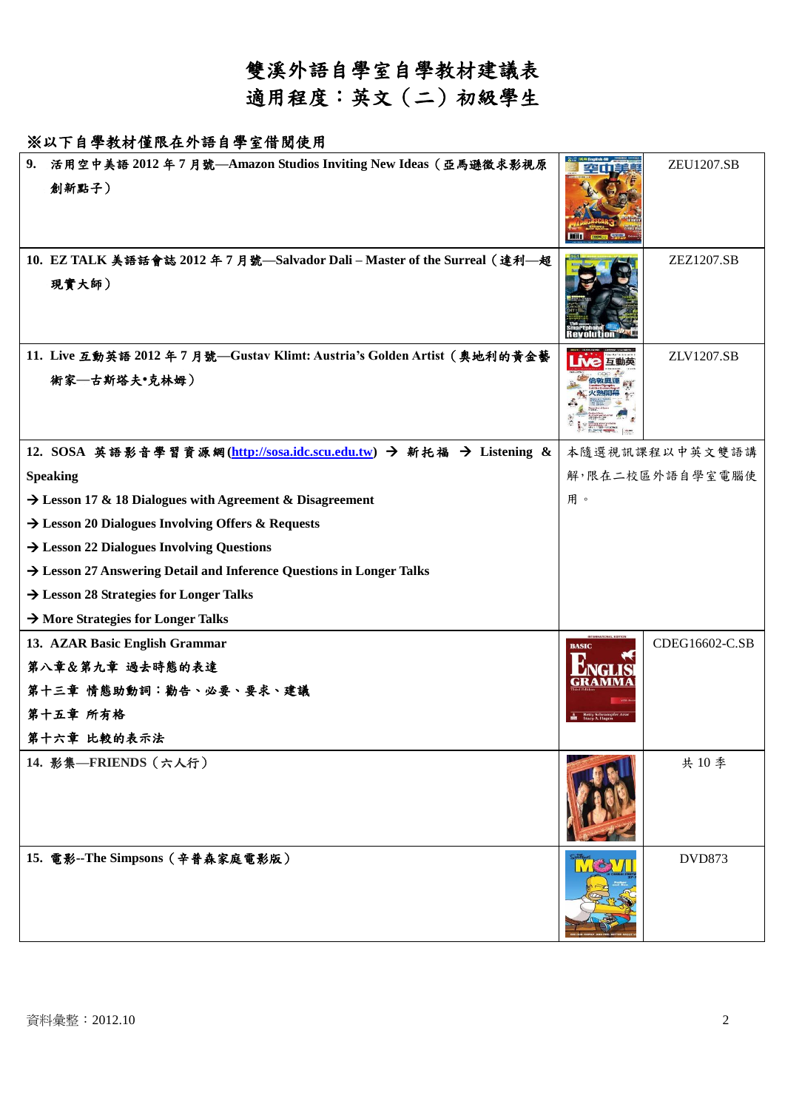## 雙溪外語自學室自學教材建議表 適用程度:英文(二)初級學生

#### ※以下自學教材僅限在外語自學室借閱使用

| 9. | 活用空中美語 2012年7月號—Amazon Studios Inviting New Ideas (亞馬遜徵求影視原<br>創新點子)                    |                 | <b>ZEU1207.SB</b> |
|----|-----------------------------------------------------------------------------------------|-----------------|-------------------|
|    | 10. EZ TALK 美語話會誌 2012年7月號–Salvador Dali-Master of the Surreal (達利–超<br>現實大師)           |                 | ZEZ1207.SB        |
|    | 11. Live 互動英語 2012 年7月號––Gustav Klimt: Austria's Golden Artist (奥地利的黄金藝<br>術家–古斯塔夫·克林姆) |                 | ZLV1207.SB        |
|    | 12. SOSA 英語影音學習資源網(http://sosa.idc.scu.edu.tw) → 新托福 → Listening &                      | 本隨選視訊課程以中英文雙語講  |                   |
|    | <b>Speaking</b>                                                                         | 解,限在二校區外語自學室電腦使 |                   |
|    | $\rightarrow$ Lesson 17 & 18 Dialogues with Agreement & Disagreement                    | 用。              |                   |
|    | $\rightarrow$ Lesson 20 Dialogues Involving Offers & Requests                           |                 |                   |
|    | $\rightarrow$ Lesson 22 Dialogues Involving Questions                                   |                 |                   |
|    | $\rightarrow$ Lesson 27 Answering Detail and Inference Questions in Longer Talks        |                 |                   |
|    | $\rightarrow$ Lesson 28 Strategies for Longer Talks                                     |                 |                   |
|    | $\rightarrow$ More Strategies for Longer Talks                                          |                 |                   |
|    | 13. AZAR Basic English Grammar                                                          | <b>BASIC</b>    | CDEG16602-C.SB    |
|    | 第八章&第九章 過去時態的表達                                                                         |                 |                   |
|    | 第十三章 情態助動詞:勸告、必要、要求、建議                                                                  |                 |                   |
|    | 第十五章 所有格                                                                                |                 |                   |
|    | 第十六章 比較的表示法                                                                             |                 |                   |
|    | 14. 影集––FRIENDS (六人行)                                                                   |                 | 共10季              |
|    | 15. 電影--The Simpsons (辛普森家庭電影版)                                                         |                 | <b>DVD873</b>     |